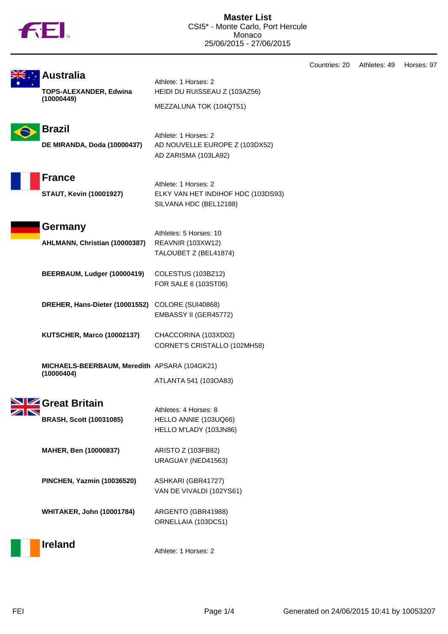

|  |                                                                 |                                                                                      | Countries: 20 | Athletes: 49 | Horses: 97 |
|--|-----------------------------------------------------------------|--------------------------------------------------------------------------------------|---------------|--------------|------------|
|  | <b>Australia</b><br><b>TOPS-ALEXANDER, Edwina</b><br>(10000449) | Athlete: 1 Horses: 2<br>HEIDI DU RUISSEAU Z (103AZ56)<br>MEZZALUNA TOK (104QT51)     |               |              |            |
|  | <b>Brazil</b><br>DE MIRANDA, Doda (10000437)                    | Athlete: 1 Horses: 2<br>AD NOUVELLE EUROPE Z (103DX52)<br>AD ZARISMA (103LA92)       |               |              |            |
|  | <b>France</b><br><b>STAUT, Kevin (10001927)</b>                 | Athlete: 1 Horses: 2<br>ELKY VAN HET INDIHOF HDC (103DS93)<br>SILVANA HDC (BEL12188) |               |              |            |
|  | Germany<br>AHLMANN, Christian (10000387)                        | Athletes: 5 Horses: 10<br><b>REAVNIR (103XW12)</b><br>TALOUBET Z (BEL41874)          |               |              |            |
|  | BEERBAUM, Ludger (10000419)                                     | COLESTUS (103BZ12)<br>FOR SALE 6 (103ST06)                                           |               |              |            |
|  | DREHER, Hans-Dieter (10001552) COLORE (SUI40868)                | EMBASSY II (GER45772)                                                                |               |              |            |
|  | KUTSCHER, Marco (10002137)                                      | CHACCORINA (103XD02)<br>CORNET'S CRISTALLO (102MH58)                                 |               |              |            |
|  | MICHAELS-BEERBAUM, Meredith APSARA (104GK21)<br>(10000404)      | ATLANTA 541 (103OA83)                                                                |               |              |            |
|  | SIZ Great Britain<br><b>BRASH, Scott (10031085)</b>             | Athletes: 4 Horses: 8<br>HELLO ANNIE (103UQ66)<br>HELLO M'LADY (103JN86)             |               |              |            |
|  | MAHER, Ben (10000837)                                           | ARISTO Z (103FB82)<br>URAGUAY (NED41563)                                             |               |              |            |
|  | PINCHEN, Yazmin (10036520)                                      | ASHKARI (GBR41727)<br>VAN DE VIVALDI (102YS61)                                       |               |              |            |
|  | <b>WHITAKER, John (10001784)</b>                                | ARGENTO (GBR41988)<br>ORNELLAIA (103DC51)                                            |               |              |            |
|  | <b>Ireland</b>                                                  | Athlete: 1 Horses: 2                                                                 |               |              |            |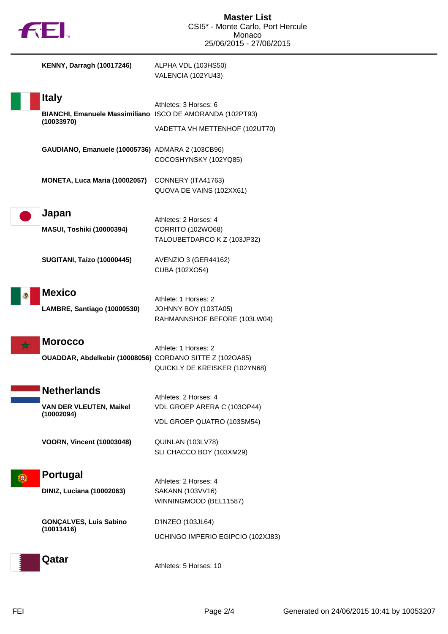



| <b>KENNY, Darragh (10017246)</b>                                                        | ALPHA VDL (103HS50)<br>VALENCIA (102YU43)                                          |
|-----------------------------------------------------------------------------------------|------------------------------------------------------------------------------------|
| <b>Italy</b><br>BIANCHI, Emanuele Massimiliano ISCO DE AMORANDA (102PT93)<br>(10033970) | Athletes: 3 Horses: 6<br>VADETTA VH METTENHOF (102UT70)                            |
| GAUDIANO, Emanuele (10005736) ADMARA 2 (103CB96)                                        | COCOSHYNSKY (102YQ85)                                                              |
| MONETA, Luca Maria (10002057)                                                           | CONNERY (ITA41763)<br>QUOVA DE VAINS (102XX61)                                     |
| Japan<br><b>MASUI, Toshiki (10000394)</b>                                               | Athletes: 2 Horses: 4<br>CORRITO (102WO68)<br>TALOUBETDARCO K Z (103JP32)          |
| <b>SUGITANI, Taizo (10000445)</b>                                                       | AVENZIO 3 (GER44162)<br>CUBA (102XO54)                                             |
| <b>Mexico</b><br>LAMBRE, Santiago (10000530)                                            | Athlete: 1 Horses: 2<br>JOHNNY BOY (103TA05)<br>RAHMANNSHOF BEFORE (103LW04)       |
| <b>Morocco</b><br>OUADDAR, Abdelkebir (10008056) CORDANO SITTE Z (102OA85)              | Athlete: 1 Horses: 2<br>QUICKLY DE KREISKER (102YN68)                              |
| Netherlands<br><b>VAN DER VLEUTEN, Maikel</b><br>(10002094)                             | Athletes: 2 Horses: 4<br>VDL GROEP ARERA C (103OP44)<br>VDL GROEP QUATRO (103SM54) |
| <b>VOORN, Vincent (10003048)</b>                                                        | QUINLAN (103LV78)<br>SLI CHACCO BOY (103XM29)                                      |
| <b>Portugal</b><br><b>DINIZ, Luciana (10002063)</b>                                     | Athletes: 2 Horses: 4<br>SAKANN (103VV16)<br>WINNINGMOOD (BEL11587)                |
| <b>GONÇALVES, Luis Sabino</b><br>(10011416)                                             | D'INZEO (103JL64)<br>UCHINGO IMPERIO EGIPCIO (102XJ83)                             |
| Qatar                                                                                   | Athletes: 5 Horses: 10                                                             |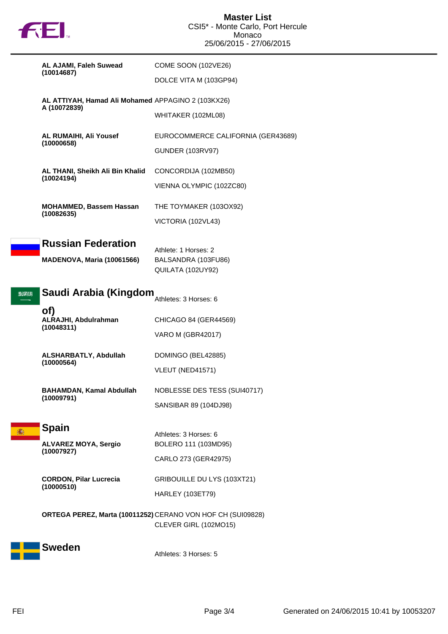

|       | AL AJAMI, Faleh Suwead                                             | <b>COME SOON (102VE26)</b>                                                           |
|-------|--------------------------------------------------------------------|--------------------------------------------------------------------------------------|
|       | (10014687)                                                         | DOLCE VITA M (103GP94)                                                               |
|       | AL ATTIYAH, Hamad Ali Mohamed APPAGINO 2 (103KX26)<br>A (10072839) |                                                                                      |
|       |                                                                    | WHITAKER (102ML08)                                                                   |
|       | AL RUMAIHI, Ali Yousef<br>(10000658)                               | EUROCOMMERCE CALIFORNIA (GER43689)                                                   |
|       |                                                                    | <b>GUNDER (103RV97)</b>                                                              |
|       | AL THANI, Sheikh Ali Bin Khalid<br>(10024194)                      | CONCORDIJA (102MB50)                                                                 |
|       |                                                                    | VIENNA OLYMPIC (102ZC80)                                                             |
|       | <b>MOHAMMED, Bassem Hassan</b><br>(10082635)                       | THE TOYMAKER (103OX92)                                                               |
|       |                                                                    | VICTORIA (102VL43)                                                                   |
|       | <b>Russian Federation</b>                                          | Athlete: 1 Horses: 2                                                                 |
|       | <b>MADENOVA, Maria (10061566)</b>                                  | BALSANDRA (103FU86)                                                                  |
|       |                                                                    | QUILATA (102UY92)                                                                    |
| 39 W. | Saudi Arabia (Kingdom<br>Athletes: 3 Horses: 6                     |                                                                                      |
|       | of)<br>ALRAJHI, Abdulrahman                                        | CHICAGO 84 (GER44569)                                                                |
|       | (10048311)                                                         | <b>VARO M (GBR42017)</b>                                                             |
|       | ALSHARBATLY, Abdullah                                              | DOMINGO (BEL42885)                                                                   |
|       | (10000564)                                                         | VLEUT (NED41571)                                                                     |
|       | <b>BAHAMDAN, Kamal Abdullah</b>                                    | NOBLESSE DES TESS (SUI40717)                                                         |
|       | (10009791)                                                         | SANSIBAR 89 (104DJ98)                                                                |
| 瀶     | <b>Spain</b>                                                       | Athletes: 3 Horses: 6                                                                |
|       | <b>ALVAREZ MOYA, Sergio</b><br>(10007927)                          | BOLERO 111 (103MD95)                                                                 |
|       |                                                                    | CARLO 273 (GER42975)                                                                 |
|       | <b>CORDON, Pilar Lucrecia</b><br>(10000510)                        | GRIBOUILLE DU LYS (103XT21)                                                          |
|       |                                                                    | <b>HARLEY (103ET79)</b>                                                              |
|       |                                                                    | ORTEGA PEREZ, Marta (10011252) CERANO VON HOF CH (SUI09828)<br>CLEVER GIRL (102MO15) |
|       | <b>Sweden</b>                                                      | Athletes: 3 Horses: 5                                                                |
|       |                                                                    |                                                                                      |